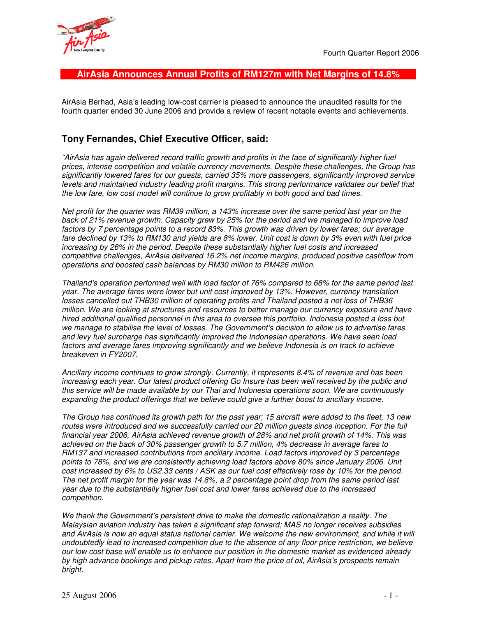

## **AirAsia Announces Annual Profits of RM127m with Net Margins of 14.8%**

AirAsia Berhad, Asia's leading low-cost carrier is pleased to announce the unaudited results for the fourth quarter ended 30 June 2006 and provide a review of recent notable events and achievements.

# **Tony Fernandes, Chief Executive Officer, said:**

*"AirAsia has again delivered record traffic growth and profits in the face of significantly higher fuel prices, intense competition and volatile currency movements. Despite these challenges, the Group has significantly lowered fares for our guests, carried 35% more passengers, significantly improved service levels and maintained industry leading profit margins. This strong performance validates our belief that the low fare, low cost model will continue to grow profitably in both good and bad times.*

Net profit for the quarter was RM39 million, a 143% increase over the same period last year on the *back of 21% revenue growth. Capacity grew by 25% for the period and we managed to improve load factors by 7 percentage points to a record 83%. This growth was driven by lower fares; our average* fare declined by 13% to RM130 and yields are 8% lower. Unit cost is down by 3% even with fuel price *increasing by 26% in the period. Despite these substantially higher fuel costs and increased competitive challenges, AirAsia delivered 16.2% net income margins, produced positive cashflow from operations and boosted cash balances by RM30 million to RM426 million.*

*Thailand's operation performed well with load factor of 76% compared to 68% for the same period last year. The average fares were lower but unit cost improved by 13%. However, currency translation losses cancelled out THB30 million of operating profits and Thailand posted a net loss of THB36 million. We are looking at structures and resources to better manage our currency exposure and have hired additional qualified personnel in this area to oversee this portfolio. Indonesia posted a loss but we manage to stabilise the level of losses. The Government's decision to allow us to advertise fares and levy fuel surcharge has significantly improved the Indonesian operations. We have seen load factors and average fares improving significantly and we believe Indonesia is on track to achieve breakeven in FY2007.*

*Ancillary income continues to grow strongly. Currently, it represents 8.4% of revenue and has been increasing each year. Our latest product offering Go Insure has been well received by the public and this service will be made available by our Thai and Indonesia operations soon. We are continuously expanding the product offerings that we believe could give a further boost to ancillary income.*

The Group has continued its growth path for the past year; 15 aircraft were added to the fleet, 13 new *routes were introduced and we successfully carried our 20 million guests since inception. For the full financial year 2006, AirAsia achieved revenue growth of 28% and net profit growth of 14%. This was achieved on the back of 30% passenger growth to 5.7 million, 4% decrease in average fares to RM137 and increased contributions from ancillary income. Load factors improved by 3 percentage points to 78%, and we are consistently achieving load factors above 80% since January 2006. Unit* cost increased by 6% to US2.33 cents / ASK as our fuel cost effectively rose by 10% for the period. The net profit margin for the year was 14.8%, a 2 percentage point drop from the same period last *year due to the substantially higher fuel cost and lower fares achieved due to the increased competition.*

*We thank the Government's persistent drive to make the domestic rationalization a reality. The Malaysian aviation industry has taken a significant step forward; MAS no longer receives subsidies* and AirAsia is now an equal status national carrier. We welcome the new environment, and while it will *undoubtedly lead to increased competition due to the absence of any floor price restriction, we believe* our low cost base will enable us to enhance our position in the domestic market as evidenced already *by high advance bookings and pickup rates. Apart from the price of oil, AirAsia's prospects remain bright.*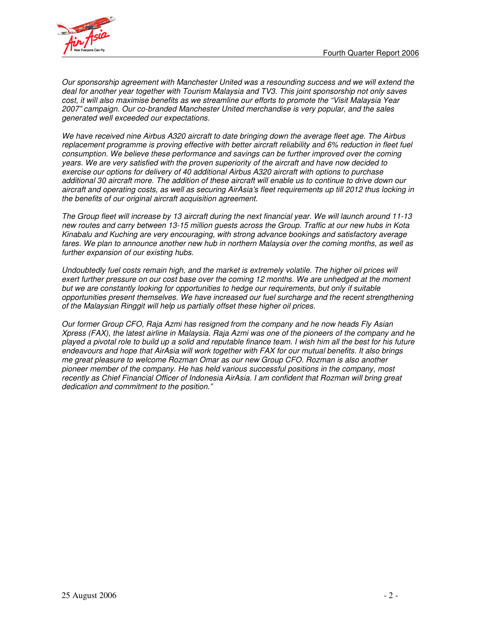

*Our sponsorship agreement with Manchester United was a resounding success and we will extend the deal for another year together with Tourism Malaysia and TV3. This joint sponsorship not only saves cost, it will also maximise benefits as we streamline our efforts to promote the "Visit Malaysia Year 2007" campaign. Our co-branded Manchester United merchandise is very popular, and the sales generated well exceeded our expectations.*

*We have received nine Airbus A320 aircraft to date bringing down the average fleet age. The Airbus replacement programme is proving effective with better aircraft reliability and 6% reduction in fleet fuel consumption. We believe these performance and savings can be further improved over the coming years. We are very satisfied with the proven superiority of the aircraft and have now decided to exercise our options for delivery of 40 additional Airbus A320 aircraft with options to purchase* additional 30 aircraft more. The addition of these aircraft will enable us to continue to drive down our aircraft and operating costs, as well as securing AirAsia's fleet requirements up till 2012 thus locking in *the benefits of our original aircraft acquisition agreement.*

The Group fleet will increase by 13 aircraft during the next financial year. We will launch around 11-13 new routes and carry between 13-15 million guests across the Group. Traffic at our new hubs in Kota *Kinabalu and Kuching are very encouraging, with strong advance bookings and satisfactory average fares. We plan to announce another new hub in northern Malaysia over the coming months, as well as further expansion of our existing hubs.*

*Undoubtedly fuel costs remain high, and the market is extremely volatile. The higher oil prices will exert further pressure on our cost base over the coming 12 months. We are unhedged at the moment but we are constantly looking for opportunities to hedge our requirements, but only if suitable opportunities present themselves. We have increased our fuel surcharge and the recent strengthening of the Malaysian Ringgit will help us partially offset these higher oil prices.*

*Our former Group CFO, Raja Azmi has resigned from the company and he now heads Fly Asian* Xpress (FAX), the latest airline in Malaysia. Raja Azmi was one of the pioneers of the company and he played a pivotal role to build up a solid and reputable finance team. I wish him all the best for his future *endeavours and hope that AirAsia will work together with FAX for our mutual benefits. It also brings me great pleasure to welcome Rozman Omar as our new Group CFO. Rozman is also another pioneer member of the company. He has held various successful positions in the company, most recently as Chief Financial Officer of Indonesia AirAsia. I am confident that Rozman will bring great dedication and commitment to the position."*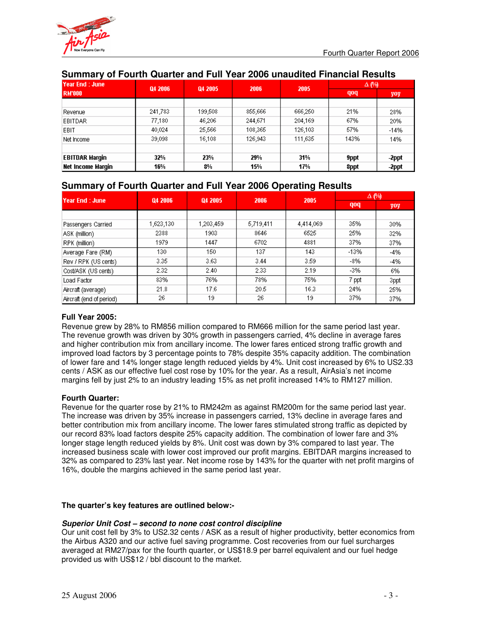

# **Summary of Fourth Quarter and Full Year 2006 unaudited Financial Results**

| lYear End : June      | Q4 2006 | Q4 2005 | 2006    | 2005    | Δ (%) |        |
|-----------------------|---------|---------|---------|---------|-------|--------|
| RM'000                |         |         |         |         | qoq   | yoy    |
|                       |         |         |         |         |       |        |
| Revenue               | 241,783 | 199,508 | 855,666 | 666,250 | 21%   | 28%    |
| <b>EBITDAR</b>        | 77,180  | 46,206  | 244,671 | 204,169 | 67%   | 20%    |
| EBIT                  | 40,024  | 25,566  | 108,365 | 126,103 | 57%   | $-14%$ |
| Net Income            | 39,098  | 16.108  | 126,943 | 111,635 | 143%  | 14%    |
|                       |         |         |         |         |       |        |
| <b>EBITDAR Margin</b> | 32%     | 23%     | 29%     | 31%     | 9ppt  | -2ppt  |
| Net Income Margin     | 16%     | 8%      | 15%     | 17%     | 8ppt  | -2ppt  |

# **Summary of Fourth Quarter and Full Year 2006 Operating Results**

| lYear End : June         | Q4 2006   | Q4 2005   | 2006      | 2005      | Δ (%)  |       |
|--------------------------|-----------|-----------|-----------|-----------|--------|-------|
|                          |           |           |           |           | qoq    | yoy   |
|                          |           |           |           |           |        |       |
| Passengers Carried       | 1,623,130 | 1,203,459 | 5,719,411 | 4,414,069 | 35%    | 30%   |
| ASK (million)            | 2388      | 1903      | 8646      | 6525      | 25%    | 32%   |
| RPK (million)            | 1979      | 1447      | 6702      | 4881      | 37%    | 37%   |
| Average Fare (RM)        | 130       | 150       | 137       | 143       | $-13%$ | -4%   |
| Rev / RPK (US cents)     | 3.35      | 3.63      | 3.44      | 3.59      | $-8%$  | $-4%$ |
| Cost/ASK (US cents)      | 2.32      | 2.40      | 2.33      | 2.19      | -3%    | 6%    |
| Load Factor              | 83%       | 76%       | 78%       | 75%       | 7 ppt  | 3ppt  |
| Aircraft (average)       | 21.8      | 17.6      | 20.5      | 16.3      | 24%    | 25%   |
| Aircraft (end of period) | 26        | 19        | 26        | 19        | 37%    | 37%   |

### **Full Year 2005:**

Revenue grew by 28% to RM856 million compared to RM666 million for the same period last year. The revenue growth was driven by 30% growth in passengers carried, 4% decline in average fares and higher contribution mix from ancillary income. The lower fares enticed strong traffic growth and improved load factors by 3 percentage points to 78% despite 35% capacity addition. The combination of lower fare and 14% longer stage length reduced yields by 4%. Unit cost increased by 6% to US2.33 cents / ASK as our effective fuel cost rose by 10% for the year. As a result, AirAsia's net income margins fell by just 2% to an industry leading 15% as net profit increased 14% to RM127 million.

### **Fourth Quarter:**

Revenue for the quarter rose by 21% to RM242m as against RM200m for the same period last year. The increase was driven by 35% increase in passengers carried, 13% decline in average fares and better contribution mix from ancillary income. The lower fares stimulated strong traffic as depicted by our record 83% load factors despite 25% capacity addition. The combination of lower fare and 3% longer stage length reduced yields by 8%. Unit cost was down by 3% compared to last year. The increased business scale with lower cost improved our profit margins. EBITDAR margins increased to 32% as compared to 23% last year. Net income rose by 143% for the quarter with net profit margins of 16%, double the margins achieved in the same period last year.

### **The quarter's key features are outlined below:-**

### *Superior Unit Cost – second to none cost control discipline*

Our unit cost fell by 3% to US2.32 cents / ASK as a result of higher productivity, better economics from the Airbus A320 and our active fuel saving programme. Cost recoveries from our fuel surcharges averaged at RM27/pax for the fourth quarter, or US\$18.9 per barrel equivalent and our fuel hedge provided us with US\$12 / bbl discount to the market.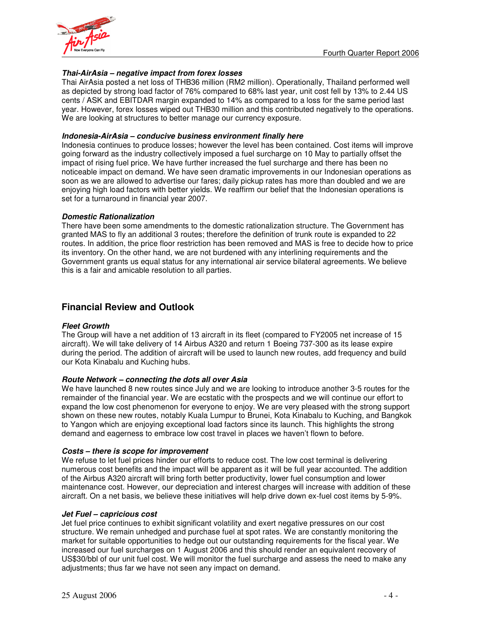

### *Thai-AirAsia – negative impact from forex losses*

Thai AirAsia posted a net loss of THB36 million (RM2 million). Operationally, Thailand performed well as depicted by strong load factor of 76% compared to 68% last year, unit cost fell by 13% to 2.44 US cents / ASK and EBITDAR margin expanded to 14% as compared to a loss for the same period last year. However, forex losses wiped out THB30 million and this contributed negatively to the operations. We are looking at structures to better manage our currency exposure.

### *Indonesia-AirAsia – conducive business environment finally here*

Indonesia continues to produce losses; however the level has been contained. Cost items will improve going forward as the industry collectively imposed a fuel surcharge on 10 May to partially offset the impact of rising fuel price. We have further increased the fuel surcharge and there has been no noticeable impact on demand. We have seen dramatic improvements in our Indonesian operations as soon as we are allowed to advertise our fares; daily pickup rates has more than doubled and we are enjoying high load factors with better yields. We reaffirm our belief that the Indonesian operations is set for a turnaround in financial year 2007.

### *Domestic Rationalization*

There have been some amendments to the domestic rationalization structure. The Government has granted MAS to fly an additional 3 routes; therefore the definition of trunk route is expanded to 22 routes. In addition, the price floor restriction has been removed and MAS is free to decide how to price its inventory. On the other hand, we are not burdened with any interlining requirements and the Government grants us equal status for any international air service bilateral agreements. We believe this is a fair and amicable resolution to all parties.

## **Financial Review and Outlook**

#### *Fleet Growth*

The Group will have a net addition of 13 aircraft in its fleet (compared to FY2005 net increase of 15 aircraft). We will take delivery of 14 Airbus A320 and return 1 Boeing 737-300 as its lease expire during the period. The addition of aircraft will be used to launch new routes, add frequency and build our Kota Kinabalu and Kuching hubs.

### *Route Network – connecting the dots all over Asia*

We have launched 8 new routes since July and we are looking to introduce another 3-5 routes for the remainder of the financial year. We are ecstatic with the prospects and we will continue our effort to expand the low cost phenomenon for everyone to enjoy. We are very pleased with the strong support shown on these new routes, notably Kuala Lumpur to Brunei, Kota Kinabalu to Kuching, and Bangkok to Yangon which are enjoying exceptional load factors since its launch. This highlights the strong demand and eagerness to embrace low cost travel in places we haven't flown to before.

#### *Costs – there is scope for improvement*

We refuse to let fuel prices hinder our efforts to reduce cost. The low cost terminal is delivering numerous cost benefits and the impact will be apparent as it will be full year accounted. The addition of the Airbus A320 aircraft will bring forth better productivity, lower fuel consumption and lower maintenance cost. However, our depreciation and interest charges will increase with addition of these aircraft. On a net basis, we believe these initiatives will help drive down ex-fuel cost items by 5-9%.

#### *Jet Fuel – capricious cost*

Jet fuel price continues to exhibit significant volatility and exert negative pressures on our cost structure. We remain unhedged and purchase fuel at spot rates. We are constantly monitoring the market for suitable opportunities to hedge out our outstanding requirements for the fiscal year. We increased our fuel surcharges on 1 August 2006 and this should render an equivalent recovery of US\$30/bbl of our unit fuel cost. We will monitor the fuel surcharge and assess the need to make any adjustments; thus far we have not seen any impact on demand.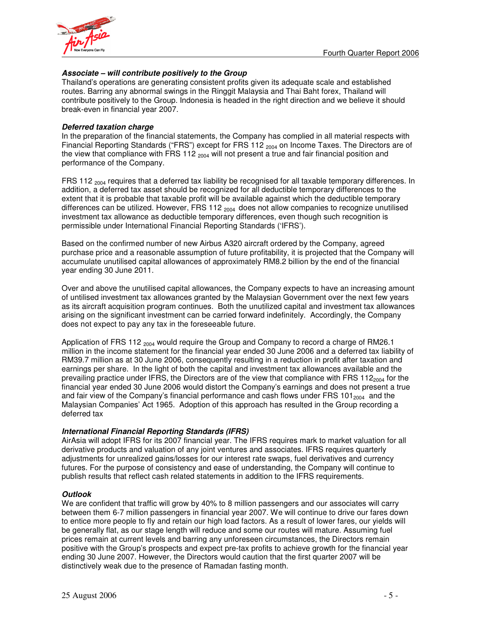

## *Associate – will contribute positively to the Group*

Thailand's operations are generating consistent profits given its adequate scale and established routes. Barring any abnormal swings in the Ringgit Malaysia and Thai Baht forex, Thailand will contribute positively to the Group. Indonesia is headed in the right direction and we believe it should break-even in financial year 2007.

### *Deferred taxation charge*

In the preparation of the financial statements, the Company has complied in all material respects with Financial Reporting Standards ("FRS") except for FRS 112 <sub>2004</sub> on Income Taxes. The Directors are of the view that compliance with FRS 112  $_{2004}$  will not present a true and fair financial position and performance of the Company.

FRS 112  $_{2004}$  requires that a deferred tax liability be recognised for all taxable temporary differences. In addition, a deferred tax asset should be recognized for all deductible temporary differences to the extent that it is probable that taxable profit will be available against which the deductible temporary differences can be utilized. However, FRS 112  $_{2004}$  does not allow companies to recognize unutilised investment tax allowance as deductible temporary differences, even though such recognition is permissible under International Financial Reporting Standards ('IFRS').

Based on the confirmed number of new Airbus A320 aircraft ordered by the Company, agreed purchase price and a reasonable assumption of future profitability, it is projected that the Company will accumulate unutilised capital allowances of approximately RM8.2 billion by the end of the financial year ending 30 June 2011.

Over and above the unutilised capital allowances, the Company expects to have an increasing amount of untilised investment tax allowances granted by the Malaysian Government over the next few years as its aircraft acquisition program continues. Both the unutilized capital and investment tax allowances arising on the significant investment can be carried forward indefinitely. Accordingly, the Company does not expect to pay any tax in the foreseeable future.

Application of FRS 112 <sub>2004</sub> would require the Group and Company to record a charge of RM26.1 million in the income statement for the financial year ended 30 June 2006 and a deferred tax liability of RM39.7 million as at 30 June 2006, consequently resulting in a reduction in profit after taxation and earnings per share. In the light of both the capital and investment tax allowances available and the prevailing practice under IFRS, the Directors are of the view that compliance with FRS 112 $_{2004}$  for the financial year ended 30 June 2006 would distort the Company's earnings and does not present a true and fair view of the Company's financial performance and cash flows under FRS  $101<sub>2004</sub>$  and the Malaysian Companies' Act 1965. Adoption of this approach has resulted in the Group recording a deferred tax

### *International Financial Reporting Standards (IFRS)*

AirAsia will adopt IFRS for its 2007 financial year. The IFRS requires mark to market valuation for all derivative products and valuation of any joint ventures and associates. IFRS requires quarterly adjustments for unrealized gains/losses for our interest rate swaps, fuel derivatives and currency futures. For the purpose of consistency and ease of understanding, the Company will continue to publish results that reflect cash related statements in addition to the IFRS requirements.

#### *Outlook*

We are confident that traffic will grow by 40% to 8 million passengers and our associates will carry between them 6-7 million passengers in financial year 2007. We will continue to drive our fares down to entice more people to fly and retain our high load factors. As a result of lower fares, our yields will be generally flat, as our stage length will reduce and some our routes will mature. Assuming fuel prices remain at current levels and barring any unforeseen circumstances, the Directors remain positive with the Group's prospects and expect pre-tax profits to achieve growth for the financial year ending 30 June 2007. However, the Directors would caution that the first quarter 2007 will be distinctively weak due to the presence of Ramadan fasting month.